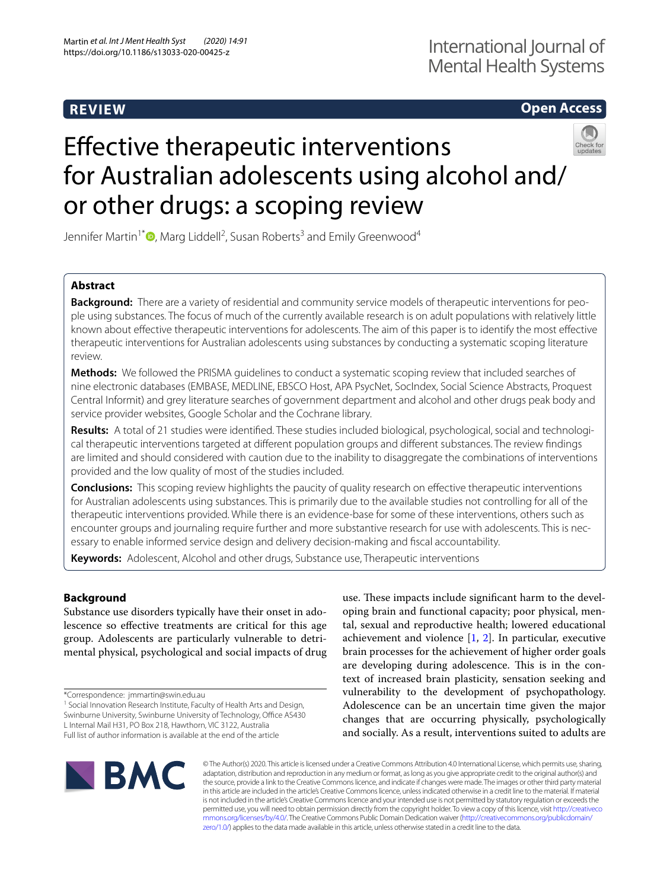# **REVIEW**

# **Open Access**

# Efective therapeutic interventions for Australian adolescents using alcohol and/ or other drugs: a scoping review



Jennifer Martin<sup>1\*</sup><sup>®</sup>[,](http://orcid.org/0000-0001-7915-3138) Marg Liddell<sup>2</sup>, Susan Roberts<sup>3</sup> and Emily Greenwood<sup>4</sup>

## **Abstract**

**Background:** There are a variety of residential and community service models of therapeutic interventions for people using substances. The focus of much of the currently available research is on adult populations with relatively little known about efective therapeutic interventions for adolescents. The aim of this paper is to identify the most efective therapeutic interventions for Australian adolescents using substances by conducting a systematic scoping literature review.

**Methods:** We followed the PRISMA guidelines to conduct a systematic scoping review that included searches of nine electronic databases (EMBASE, MEDLINE, EBSCO Host, APA PsycNet, SocIndex, Social Science Abstracts, Proquest Central Informit) and grey literature searches of government department and alcohol and other drugs peak body and service provider websites, Google Scholar and the Cochrane library.

**Results:** A total of 21 studies were identifed. These studies included biological, psychological, social and technological therapeutic interventions targeted at diferent population groups and diferent substances. The review fndings are limited and should considered with caution due to the inability to disaggregate the combinations of interventions provided and the low quality of most of the studies included.

**Conclusions:** This scoping review highlights the paucity of quality research on efective therapeutic interventions for Australian adolescents using substances. This is primarily due to the available studies not controlling for all of the therapeutic interventions provided. While there is an evidence-base for some of these interventions, others such as encounter groups and journaling require further and more substantive research for use with adolescents. This is necessary to enable informed service design and delivery decision-making and fscal accountability.

**Keywords:** Adolescent, Alcohol and other drugs, Substance use, Therapeutic interventions

## **Background**

Substance use disorders typically have their onset in adolescence so efective treatments are critical for this age group. Adolescents are particularly vulnerable to detrimental physical, psychological and social impacts of drug

\*Correspondence: jmmartin@swin.edu.au

<sup>1</sup> Social Innovation Research Institute, Faculty of Health Arts and Design, Swinburne University, Swinburne University of Technology, Office AS430 L Internal Mail H31, PO Box 218, Hawthorn, VIC 3122, Australia Full list of author information is available at the end of the article

use. These impacts include significant harm to the developing brain and functional capacity; poor physical, mental, sexual and reproductive health; lowered educational achievement and violence  $[1, 2]$  $[1, 2]$  $[1, 2]$  $[1, 2]$  $[1, 2]$ . In particular, executive brain processes for the achievement of higher order goals are developing during adolescence. This is in the context of increased brain plasticity, sensation seeking and vulnerability to the development of psychopathology. Adolescence can be an uncertain time given the major changes that are occurring physically, psychologically and socially. As a result, interventions suited to adults are



© The Author(s) 2020. This article is licensed under a Creative Commons Attribution 4.0 International License, which permits use, sharing, adaptation, distribution and reproduction in any medium or format, as long as you give appropriate credit to the original author(s) and the source, provide a link to the Creative Commons licence, and indicate if changes were made. The images or other third party material in this article are included in the article's Creative Commons licence, unless indicated otherwise in a credit line to the material. If material is not included in the article's Creative Commons licence and your intended use is not permitted by statutory regulation or exceeds the permitted use, you will need to obtain permission directly from the copyright holder. To view a copy of this licence, visit [http://creativeco](http://creativecommons.org/licenses/by/4.0/) [mmons.org/licenses/by/4.0/.](http://creativecommons.org/licenses/by/4.0/) The Creative Commons Public Domain Dedication waiver ([http://creativecommons.org/publicdomain/](http://creativecommons.org/publicdomain/zero/1.0/) [zero/1.0/\)](http://creativecommons.org/publicdomain/zero/1.0/) applies to the data made available in this article, unless otherwise stated in a credit line to the data.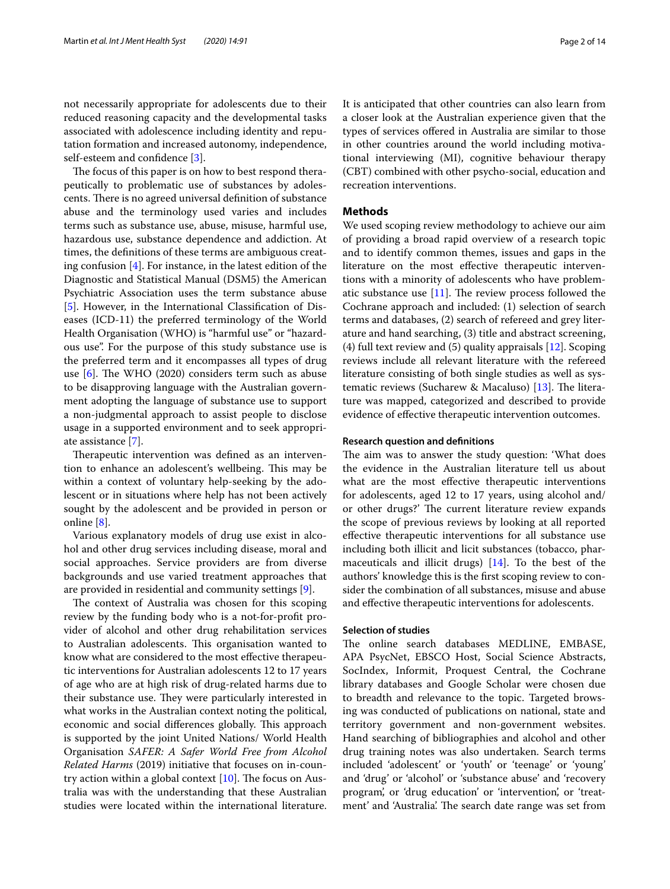not necessarily appropriate for adolescents due to their reduced reasoning capacity and the developmental tasks associated with adolescence including identity and reputation formation and increased autonomy, independence, self-esteem and confidence [[3](#page-12-2)].

The focus of this paper is on how to best respond therapeutically to problematic use of substances by adolescents. There is no agreed universal definition of substance abuse and the terminology used varies and includes terms such as substance use, abuse, misuse, harmful use, hazardous use, substance dependence and addiction. At times, the defnitions of these terms are ambiguous creating confusion [[4\]](#page-12-3). For instance, in the latest edition of the Diagnostic and Statistical Manual (DSM5) the American Psychiatric Association uses the term substance abuse [[5\]](#page-12-4). However, in the International Classifcation of Diseases (ICD-11) the preferred terminology of the World Health Organisation (WHO) is "harmful use" or "hazardous use". For the purpose of this study substance use is the preferred term and it encompasses all types of drug use  $[6]$  $[6]$ . The WHO (2020) considers term such as abuse to be disapproving language with the Australian government adopting the language of substance use to support a non-judgmental approach to assist people to disclose usage in a supported environment and to seek appropriate assistance [\[7](#page-12-6)].

Therapeutic intervention was defined as an intervention to enhance an adolescent's wellbeing. This may be within a context of voluntary help-seeking by the adolescent or in situations where help has not been actively sought by the adolescent and be provided in person or online [[8\]](#page-12-7).

Various explanatory models of drug use exist in alcohol and other drug services including disease, moral and social approaches. Service providers are from diverse backgrounds and use varied treatment approaches that are provided in residential and community settings [[9\]](#page-12-8).

The context of Australia was chosen for this scoping review by the funding body who is a not-for-proft provider of alcohol and other drug rehabilitation services to Australian adolescents. This organisation wanted to know what are considered to the most efective therapeutic interventions for Australian adolescents 12 to 17 years of age who are at high risk of drug-related harms due to their substance use. They were particularly interested in what works in the Australian context noting the political, economic and social differences globally. This approach is supported by the joint United Nations/ World Health Organisation *SAFER: A Safer World Free from Alcohol Related Harms* (2019) initiative that focuses on in-country action within a global context  $[10]$  $[10]$ . The focus on Australia was with the understanding that these Australian studies were located within the international literature. It is anticipated that other countries can also learn from a closer look at the Australian experience given that the types of services ofered in Australia are similar to those in other countries around the world including motivational interviewing (MI), cognitive behaviour therapy (CBT) combined with other psycho-social, education and recreation interventions.

#### **Methods**

We used scoping review methodology to achieve our aim of providing a broad rapid overview of a research topic and to identify common themes, issues and gaps in the literature on the most efective therapeutic interventions with a minority of adolescents who have problematic substance use  $[11]$ . The review process followed the Cochrane approach and included: (1) selection of search terms and databases, (2) search of refereed and grey literature and hand searching, (3) title and abstract screening, (4) full text review and  $(5)$  quality appraisals  $[12]$  $[12]$ . Scoping reviews include all relevant literature with the refereed literature consisting of both single studies as well as systematic reviews (Sucharew & Macaluso)  $[13]$  $[13]$ . The literature was mapped, categorized and described to provide evidence of efective therapeutic intervention outcomes.

## **Research question and defnitions**

The aim was to answer the study question: 'What does the evidence in the Australian literature tell us about what are the most efective therapeutic interventions for adolescents, aged 12 to 17 years, using alcohol and/ or other drugs?' The current literature review expands the scope of previous reviews by looking at all reported efective therapeutic interventions for all substance use including both illicit and licit substances (tobacco, pharmaceuticals and illicit drugs) [[14](#page-12-13)]. To the best of the authors' knowledge this is the frst scoping review to consider the combination of all substances, misuse and abuse and efective therapeutic interventions for adolescents.

#### **Selection of studies**

The online search databases MEDLINE, EMBASE, APA PsycNet, EBSCO Host, Social Science Abstracts, SocIndex, Informit, Proquest Central, the Cochrane library databases and Google Scholar were chosen due to breadth and relevance to the topic. Targeted browsing was conducted of publications on national, state and territory government and non-government websites. Hand searching of bibliographies and alcohol and other drug training notes was also undertaken. Search terms included 'adolescent' or 'youth' or 'teenage' or 'young' and 'drug' or 'alcohol' or 'substance abuse' and 'recovery program', or 'drug education' or 'intervention', or 'treatment' and 'Australia'. The search date range was set from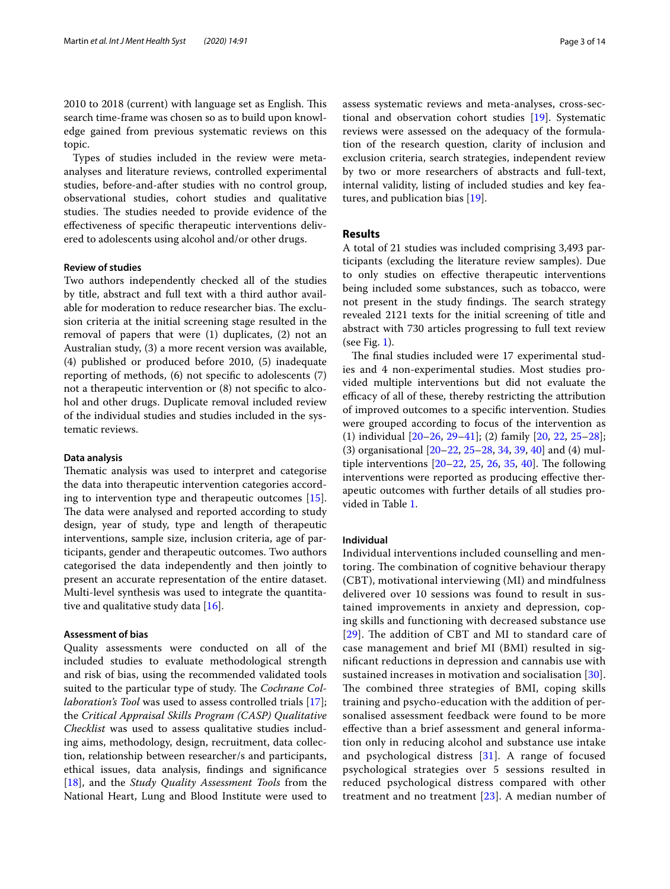2010 to 2018 (current) with language set as English. This search time-frame was chosen so as to build upon knowledge gained from previous systematic reviews on this topic.

Types of studies included in the review were metaanalyses and literature reviews, controlled experimental studies, before-and-after studies with no control group, observational studies, cohort studies and qualitative studies. The studies needed to provide evidence of the efectiveness of specifc therapeutic interventions delivered to adolescents using alcohol and/or other drugs.

## **Review of studies**

Two authors independently checked all of the studies by title, abstract and full text with a third author available for moderation to reduce researcher bias. The exclusion criteria at the initial screening stage resulted in the removal of papers that were (1) duplicates, (2) not an Australian study, (3) a more recent version was available, (4) published or produced before 2010, (5) inadequate reporting of methods, (6) not specifc to adolescents (7) not a therapeutic intervention or (8) not specifc to alcohol and other drugs. Duplicate removal included review of the individual studies and studies included in the systematic reviews.

#### **Data analysis**

Thematic analysis was used to interpret and categorise the data into therapeutic intervention categories according to intervention type and therapeutic outcomes [\[15](#page-12-14)]. The data were analysed and reported according to study design, year of study, type and length of therapeutic interventions, sample size, inclusion criteria, age of participants, gender and therapeutic outcomes. Two authors categorised the data independently and then jointly to present an accurate representation of the entire dataset. Multi-level synthesis was used to integrate the quantitative and qualitative study data [[16\]](#page-12-15).

#### **Assessment of bias**

Quality assessments were conducted on all of the included studies to evaluate methodological strength and risk of bias, using the recommended validated tools suited to the particular type of study. The *Cochrane Collaboration's Tool* was used to assess controlled trials [\[17](#page-12-16)]; the *Critical Appraisal Skills Program (CASP) Qualitative Checklist* was used to assess qualitative studies including aims, methodology, design, recruitment, data collection, relationship between researcher/s and participants, ethical issues, data analysis, fndings and signifcance [[18\]](#page-12-17), and the *Study Quality Assessment Tools* from the National Heart, Lung and Blood Institute were used to assess systematic reviews and meta-analyses, cross-sectional and observation cohort studies [[19\]](#page-12-18). Systematic reviews were assessed on the adequacy of the formulation of the research question, clarity of inclusion and exclusion criteria, search strategies, independent review by two or more researchers of abstracts and full-text, internal validity, listing of included studies and key features, and publication bias [[19\]](#page-12-18).

#### **Results**

A total of 21 studies was included comprising 3,493 participants (excluding the literature review samples). Due to only studies on efective therapeutic interventions being included some substances, such as tobacco, were not present in the study findings. The search strategy revealed 2121 texts for the initial screening of title and abstract with 730 articles progressing to full text review (see Fig. [1](#page-3-0)).

The final studies included were 17 experimental studies and 4 non-experimental studies. Most studies provided multiple interventions but did not evaluate the efficacy of all of these, thereby restricting the attribution of improved outcomes to a specifc intervention. Studies were grouped according to focus of the intervention as (1) individual [\[20](#page-12-19)[–26,](#page-12-20) [29](#page-12-21)–[41\]](#page-13-0); (2) family [\[20](#page-12-19), [22](#page-12-22), [25](#page-12-23)[–28](#page-12-24)]; (3) organisational [\[20–](#page-12-19)[22,](#page-12-22) [25](#page-12-23)[–28](#page-12-24), [34,](#page-12-25) [39](#page-13-1), [40\]](#page-13-2) and (4) multiple interventions  $[20-22, 25, 26, 35, 40]$  $[20-22, 25, 26, 35, 40]$  $[20-22, 25, 26, 35, 40]$  $[20-22, 25, 26, 35, 40]$  $[20-22, 25, 26, 35, 40]$  $[20-22, 25, 26, 35, 40]$  $[20-22, 25, 26, 35, 40]$  $[20-22, 25, 26, 35, 40]$  $[20-22, 25, 26, 35, 40]$  $[20-22, 25, 26, 35, 40]$  $[20-22, 25, 26, 35, 40]$ . The following interventions were reported as producing efective therapeutic outcomes with further details of all studies provided in Table [1](#page-4-0).

## **Individual**

Individual interventions included counselling and mentoring. The combination of cognitive behaviour therapy (CBT), motivational interviewing (MI) and mindfulness delivered over 10 sessions was found to result in sustained improvements in anxiety and depression, coping skills and functioning with decreased substance use  $[29]$  $[29]$  $[29]$ . The addition of CBT and MI to standard care of case management and brief MI (BMI) resulted in signifcant reductions in depression and cannabis use with sustained increases in motivation and socialisation [[30](#page-12-27)]. The combined three strategies of BMI, coping skills training and psycho-education with the addition of personalised assessment feedback were found to be more efective than a brief assessment and general information only in reducing alcohol and substance use intake and psychological distress [\[31](#page-12-28)]. A range of focused psychological strategies over 5 sessions resulted in reduced psychological distress compared with other treatment and no treatment [\[23](#page-12-29)]. A median number of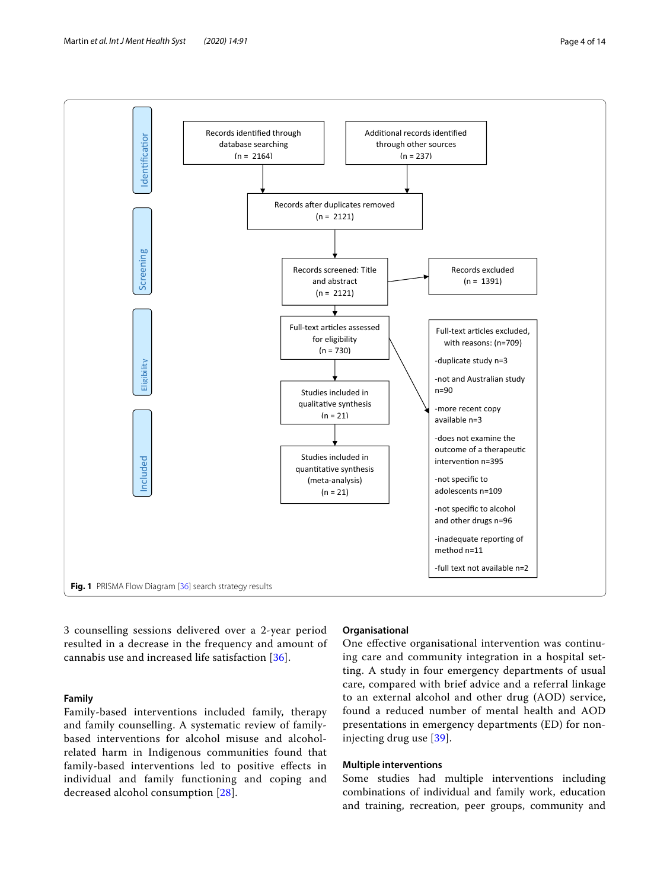

<span id="page-3-0"></span>3 counselling sessions delivered over a 2-year period resulted in a decrease in the frequency and amount of cannabis use and increased life satisfaction [[36\]](#page-12-30).

## **Family**

Family-based interventions included family, therapy and family counselling. A systematic review of familybased interventions for alcohol misuse and alcoholrelated harm in Indigenous communities found that family-based interventions led to positive efects in individual and family functioning and coping and decreased alcohol consumption [[28\]](#page-12-24).

## **Organisational**

One efective organisational intervention was continuing care and community integration in a hospital setting. A study in four emergency departments of usual care, compared with brief advice and a referral linkage to an external alcohol and other drug (AOD) service, found a reduced number of mental health and AOD presentations in emergency departments (ED) for noninjecting drug use [[39](#page-13-1)].

## **Multiple interventions**

Some studies had multiple interventions including combinations of individual and family work, education and training, recreation, peer groups, community and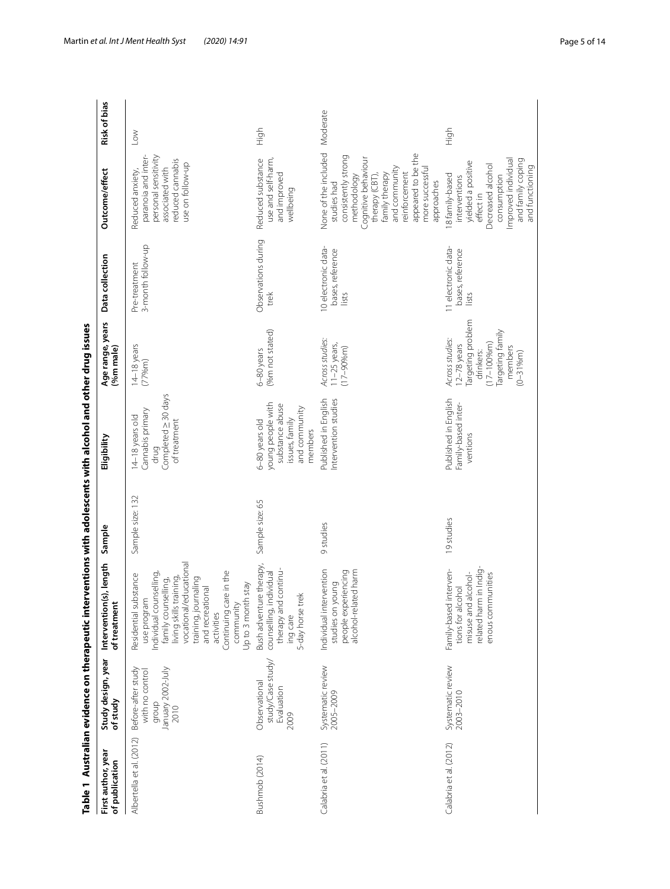<span id="page-4-0"></span>

|                                      |                                                                             | Table 1 Australian evidence on therapeutic interventions with adolescents with alcohol and other drug issues                                                                                                                                                          |                  |                                                                                                      |                                                                                                                                         |                                                  |                                                                                                                                                                                                                                        |              |
|--------------------------------------|-----------------------------------------------------------------------------|-----------------------------------------------------------------------------------------------------------------------------------------------------------------------------------------------------------------------------------------------------------------------|------------------|------------------------------------------------------------------------------------------------------|-----------------------------------------------------------------------------------------------------------------------------------------|--------------------------------------------------|----------------------------------------------------------------------------------------------------------------------------------------------------------------------------------------------------------------------------------------|--------------|
| First author, year<br>of publication | Study design, year<br>of study                                              | Intervention(s), length<br>of treatment                                                                                                                                                                                                                               | Sample           | Eligibility                                                                                          | Age range, years<br>(%m male)                                                                                                           | Data collection                                  | Outcome/effect                                                                                                                                                                                                                         | Risk of bias |
| Albertella et al. (2012)             | January 2002-July<br>Before-after study<br>with no control<br>droub<br>2010 | vocational/educational<br>Continuing care in the<br>Individual counselling,<br>Residential substance<br>training,<br>training, journaling<br>family counselling,<br>Up to 3 month stay<br>and recreational<br>use program<br>community<br>living skills<br>activities | Sample size: 132 | Completed ≥ 30 days<br>Cannabis primary<br>14-18 years old<br>of treatment<br>drug                   | $14-18$ years<br>(77%m)                                                                                                                 | 3-month follow-up<br>Pre-treatment               | paranoia and inter-<br>personal sensitivity<br>reduced cannabis<br>use on follow-up<br>associated with<br>Reduced anxiety,                                                                                                             | $\leq$       |
| Bushmob (2014)                       | study/Case study<br>Observational<br>Evaluation<br>2009                     | Bush adventure therapy,<br>therapy and continu-<br>counselling, individual<br>5-day horse trek<br>ing care                                                                                                                                                            | Sample size: 65  | young people with<br>substance abuse<br>and community<br>issues, family<br>6-80 years old<br>members | (%m not stated)<br>6-80 years                                                                                                           | Observations during<br>trek                      | Reduced substance<br>use and self-harm,<br>and improved<br>wellbeing                                                                                                                                                                   | high         |
| Calabria et al. (2011)               | Systematic review<br>2005-2009                                              | Individual intervention<br>alcohol-related harm<br>people experiencing<br>studies on young                                                                                                                                                                            | 9 studies        | Published in English<br>Intervention studies                                                         | Across studies:<br>$11 - 25$ years,<br>$(17 - 90%m)$                                                                                    | 10 electronic data-<br>bases, reference<br>lists | None of the included Moderate<br>appeared to be the<br>consistently strong<br>Cognitive behaviour<br>and community<br>more successful<br>reinforcement<br>therapy (CBT),<br>family therapy<br>methodology<br>approaches<br>studies had |              |
| Calabria et al. (2012)               | Systematic review<br>2003-2010                                              | elated harm in Indig-<br>Family-based interven-<br>misuse and alcohol-<br>enous communities<br>tions for alcohol                                                                                                                                                      | 19 studies       | Published in English<br>Family-based inter-<br>ventions                                              | Targeting problem<br>Targeting family<br>Across studies:<br>$(17 - 100%$ m)<br>$12 - 78$ years<br>members<br>drinkers:<br>$(0 - 31\%m)$ | I1 electronic data-<br>bases, reference<br>lists | Improved individual<br>and family coping<br>yielded a positive<br>Decreased alcohol<br>and functioning<br>8 family-based<br>consumption<br>interventions<br>effect in                                                                  | High         |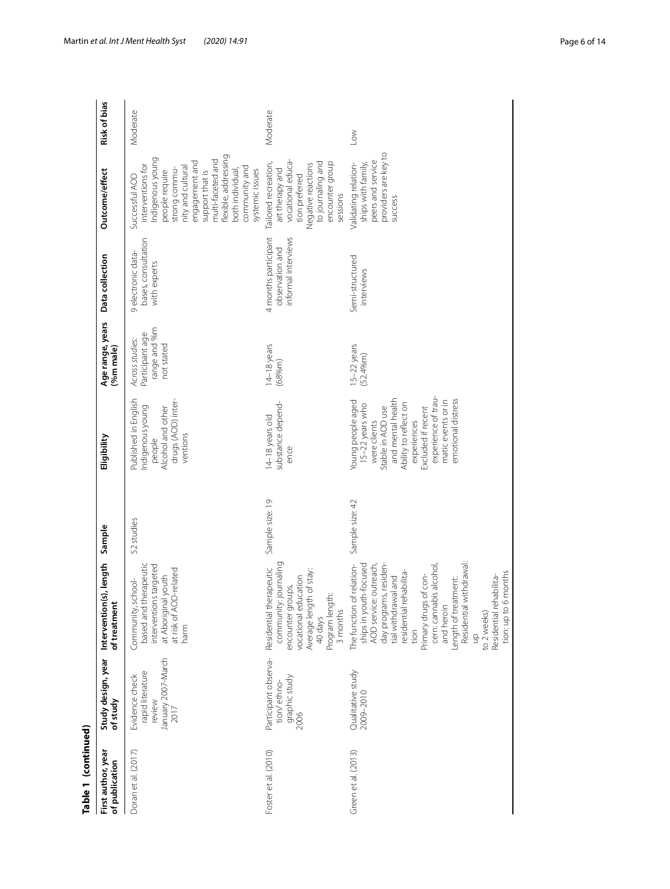| Table 1 (continued)                  |                                                                            |                                                                                                                                                                                                                                                                                                                                                                     |                 |                                                                                                                                                                                                                                 |                                                                  |                                                                |                                                                                                                                                                                                                                                           |              |
|--------------------------------------|----------------------------------------------------------------------------|---------------------------------------------------------------------------------------------------------------------------------------------------------------------------------------------------------------------------------------------------------------------------------------------------------------------------------------------------------------------|-----------------|---------------------------------------------------------------------------------------------------------------------------------------------------------------------------------------------------------------------------------|------------------------------------------------------------------|----------------------------------------------------------------|-----------------------------------------------------------------------------------------------------------------------------------------------------------------------------------------------------------------------------------------------------------|--------------|
| First author, year<br>of publication | Study design, year<br>of study                                             | Intervention(s), length<br>of treatment                                                                                                                                                                                                                                                                                                                             | Sample          | Eligibility                                                                                                                                                                                                                     | Age range, years<br>(%m male)                                    | Data collection                                                | Outcome/effect                                                                                                                                                                                                                                            | Risk of bias |
| Doran et al. (2017)                  | January 2007-March<br>rapid literature<br>Evidence check<br>review<br>2017 | I therapeutic<br>interventions targeted<br>at risk of AOD-related<br>at Aboriginal youth<br>school-<br>Community<br>based and<br>harm                                                                                                                                                                                                                               | 52 studies      | Published in English<br>drugs (AOD) inter-<br>Indigenous young<br>Alcohol and other<br>ventions<br>people                                                                                                                       | range and %m<br>Participant age<br>Across studies:<br>not stated | bases, consultation<br>9 electronic data-<br>with experts      | flexible, addressing<br>Indigenous young<br>multi-faceted and<br>engagement and<br>interventions for<br>nity and cultural<br>community and<br>strong commu-<br>systemic issues<br>both individual,<br>people require<br>support that is<br>Successful AOD | Moderate     |
| Foster et al. (2010)                 | Participant observa-<br>graphic study<br>tion/ethno-<br>2006               | community: journaling<br>Residential therapeutic<br>Average length of stay:<br>vocational education<br>encounter groups,<br>Program length:<br>3 months<br>40 days                                                                                                                                                                                                  | Sample size: 19 | substance depend-<br>14-18 years old<br>ence                                                                                                                                                                                    | 14-18 years<br>(68% <sub>m</sub> )                               | informal interviews<br>4 months participant<br>observation and | vocational educa-<br>to journaling and<br>encounter group<br>Tailored recreation,<br>Negative reactions<br>art therapy and<br>tion preferred<br>sessions                                                                                                  | Moderate     |
| Green et al. (2013)                  | Qualitative study<br>2009-2010                                             | Residential withdrawal:<br>day programs, residen-<br>The function of relation-<br>ships in youth-focused<br>AOD service: outreach,<br>cern: cannabis alcohol<br>rehabilita-<br>6 months<br>Residential rehabilita-<br>tial withdrawal and<br>Primary drugs of con-<br>Length of treatment:<br>and heroin<br>residential<br>tion: up to<br>to 2 weeks)<br>tion<br>qu | Sample size: 42 | experience of trau-<br>and mental health<br>emotional distress<br>matic events or in<br>Young people aged<br>15-22 years who<br>Ability to reflect on<br>Stable in AOD use<br>Excluded if recent<br>experiences<br>were clients | 5-22 years<br>(52.4% <sub>m</sub> )                              | Semi-structured<br>interviews                                  | providers are key to<br>peers and service<br>Validating relation-<br>ships with family,<br>success                                                                                                                                                        | $\leq$       |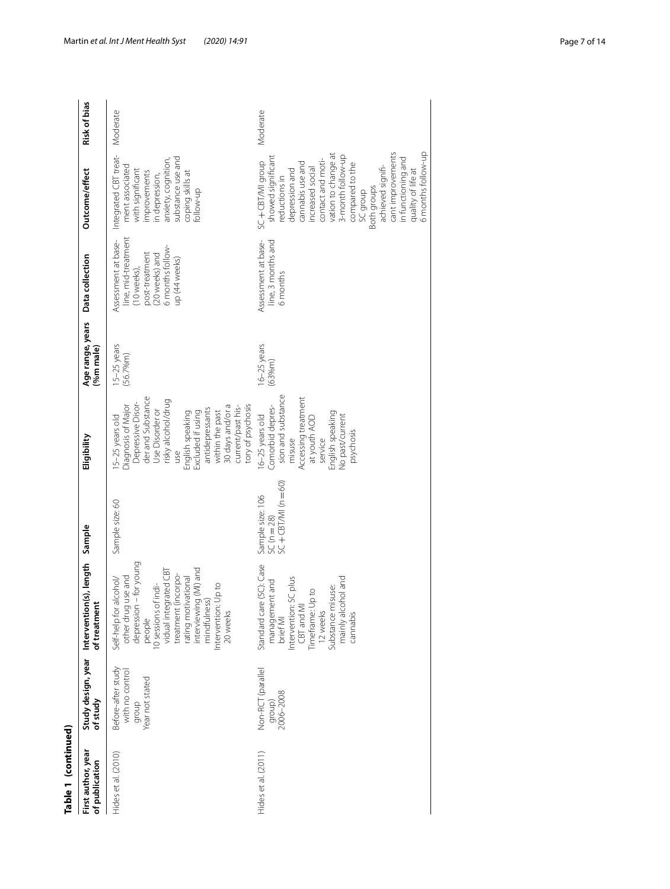| ī        |
|----------|
|          |
|          |
|          |
|          |
|          |
|          |
| ī<br>ŧ   |
|          |
| ı<br>d   |
|          |
|          |
| I<br>ׇ֦֡ |
|          |

| Table 1 (continued)                  |                                                                   |                                                                                                                                                                                                                                                               |                                                            |                                                                                                                                                                                                                                                                             |                                        |                                                                                                                                    |                                                                                                                                                                                                                                                                                                                                             |              |
|--------------------------------------|-------------------------------------------------------------------|---------------------------------------------------------------------------------------------------------------------------------------------------------------------------------------------------------------------------------------------------------------|------------------------------------------------------------|-----------------------------------------------------------------------------------------------------------------------------------------------------------------------------------------------------------------------------------------------------------------------------|----------------------------------------|------------------------------------------------------------------------------------------------------------------------------------|---------------------------------------------------------------------------------------------------------------------------------------------------------------------------------------------------------------------------------------------------------------------------------------------------------------------------------------------|--------------|
| First author, year<br>of publication | of study                                                          | Study design, year Intervention(s), length Sample<br>of treatment                                                                                                                                                                                             |                                                            | Eligibility                                                                                                                                                                                                                                                                 | Age range, years<br>(%m male)          | Data collection                                                                                                                    | Outcome/effect                                                                                                                                                                                                                                                                                                                              | Risk of bias |
| Hides et al. (2010)                  | Before-after study<br>with no control<br>Year not stated<br>group | depression - for young<br>vidual integrated CBT<br>interviewing (MI) and<br>treatment (incorpo-<br>use and<br>rating motivational<br>Self-help for alcohol/<br>10 sessions of indi-<br>Intervention: Up to<br>mindfulness<br>other drug<br>20 weeks<br>people | Sample size: 60                                            | der and Substance<br>risky alcohol/drug<br>Depressive Disor-<br>tory of psychosis<br>Diagnosis of Major<br>30 days and/or a<br>current/past his-<br>antidepressants<br>Use Disorder or<br>within the past<br>Excluded if using<br>English speaking<br>5-25 years old<br>yso | 15-25 years<br>(56.7% <sub>m</sub> )   | line, mid-treatment<br>Assessment at base-<br>6 months follow-<br>post-treatment<br>(20 weeks) and<br>up (44 weeks)<br>(10 weeks), | Integrated CBT treat-<br>substance use and<br>anxiety, cognition,<br>ment associated<br>with significant<br>improvements<br>coping skills at<br>in depression,<br>follow-up                                                                                                                                                                 | Moderate     |
| Hides et al. (2011)                  | Non-RCT (parallel<br>2006-2008<br>group)                          | Standard care (SC): Case<br>Intervention: SC plus<br>bue jor<br>management and<br>suse:<br>Timeframe: Up to<br>mainly alcoh<br>CBT and MI<br>Substance mi<br>12 weeks<br>cannabis<br>brief MI                                                                 | $SC + CBT/MI (n = 60)$<br>Sample size: 106<br>$SC(n = 28)$ | sion and substance<br>Accessing treatment<br>Comorbid depres-<br>English speaking<br>6-25 years old<br>No past/current<br>at youth AOD<br>psychosis<br>misuse<br>service                                                                                                    | $16 - 25$ years<br>(63% <sub>m</sub> ) | Assessment at base-<br>line, 3 months and<br>6 months                                                                              | 6 months follow-up<br>cant improvements<br>vation to change at<br>3-month follow-up<br>showed significant<br>in functioning and<br>contact and moti-<br>SC+CBT/MI group<br>cannabis use and<br>compared to the<br>achieved signifi-<br>increased social<br>quality of life at<br>depression and<br>reductions in<br>Both groups<br>SC group | Moderate     |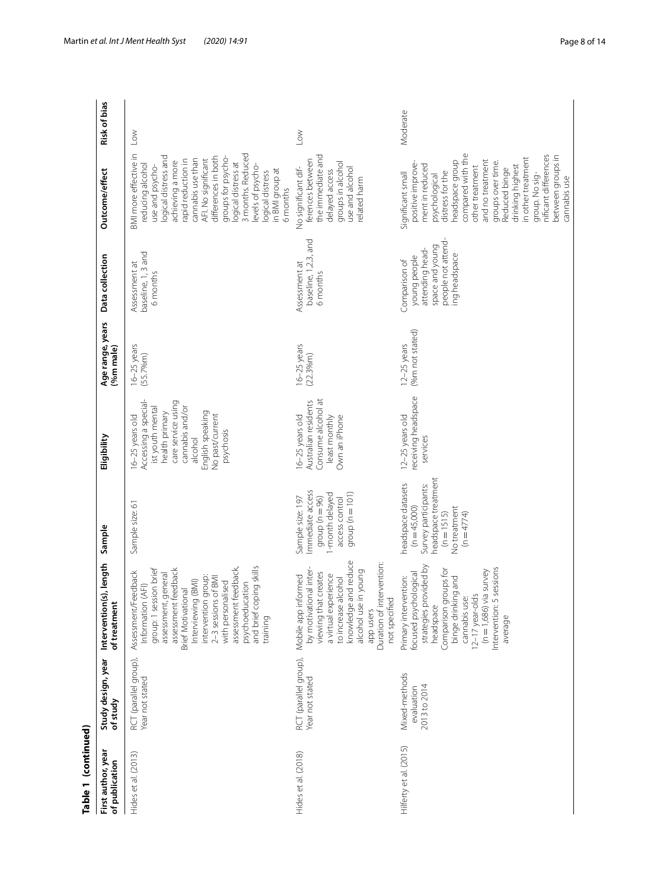| Table 1 (continued)                 |                                             |                                                                                                                                                                                                                                                                                                                      |                                                                                                                                 |                                                                                                                                                                                      |                                          |                                                                                                            |                                                                                                                                                                                                                                                                                                                                              |                     |
|-------------------------------------|---------------------------------------------|----------------------------------------------------------------------------------------------------------------------------------------------------------------------------------------------------------------------------------------------------------------------------------------------------------------------|---------------------------------------------------------------------------------------------------------------------------------|--------------------------------------------------------------------------------------------------------------------------------------------------------------------------------------|------------------------------------------|------------------------------------------------------------------------------------------------------------|----------------------------------------------------------------------------------------------------------------------------------------------------------------------------------------------------------------------------------------------------------------------------------------------------------------------------------------------|---------------------|
| First author, yea<br>of publication | Study design, year<br>of study              | (s), length<br>of treatment<br>Intervention                                                                                                                                                                                                                                                                          | Sample                                                                                                                          | Eligibility                                                                                                                                                                          | Age range, years<br>(%m male)            | Data collection                                                                                            | Outcome/effect                                                                                                                                                                                                                                                                                                                               | <b>Risk of bias</b> |
| Hides et al. (2013)                 | RCT (parallel group),<br>Year not stated    | and brief coping skills<br>assessment feedback,<br>group: 1 session brief<br>assessment feedback<br>Assessment/Feedback<br>general<br>intervention group:<br>2–3 sessions of BMI<br>Interviewing (BMI)<br>with personalised<br>psychoeducation<br>Information (AFI)<br>Brief Motivational<br>assessment,<br>training | Sample size: 61                                                                                                                 | Accessing a special-<br>care service using<br>cannabis and/or<br>ist youth mental<br>health primary<br>English speaking<br>No past/current<br>6-25 years old<br>psychosis<br>alcohol | $16 - 25$ years<br>(55.7% <sub>m</sub> ) | baseline, 1, 3 and<br>Assessment at<br>6 months                                                            | BMI more effective in<br>3 months. Reduced<br>logical distress and<br>differences in both<br>groups for psycho-<br>cannabis use than<br>AFI. No significant<br>rapid reduction in<br>achieving a more<br>logical distress at<br>reducing alcohol<br>use and psycho-<br>levels of psycho-<br>in BMI group at<br>logical distress<br>6 months  | $_{\text{Low}}$     |
| Hides et al. (2018)                 | RCT (parallel group),<br>Year not stated    | knowledge and reduce<br>Duration of intervention:<br>by motivational inter-<br>alcohol use in young<br>viewing that creates<br>a virtual experience<br>Mobile app informed<br>to increase alcohol<br>not specified<br>app users                                                                                      | Immediate access<br>-month delayed<br>group ( $n = 101$ )<br>group ( $n = 96$ )<br>Sample size: 197<br>access control           | Consume alcohol at<br>Australian residents<br>6-25 years old<br>Own an iPhone<br>least monthly                                                                                       | $16 - 25$ years<br>(22.3% <sup>m</sup> ) | baseline, 1,2,3, and<br>Assessment at<br>6 months                                                          | the immediate and<br>ferences between<br>groups in alcohol<br>No significant dif-<br>use and alcohol<br>delayed access<br>related harm                                                                                                                                                                                                       | $\geq$              |
| Hilferty et al. (2015)              | Mixed-methods<br>2013 to 2014<br>evaluation | strategies provided by<br>ntervention: 5 sessions<br>$(n = 1,686)$ via survey<br>Comparison groups for<br>focused psychological<br>Primary intervention:<br>binge drinking and<br>12-17 year-olds<br>cannabis use:<br>headspace<br>average                                                                           | neadspace treatment<br>neadspace datasets<br>Survey participants:<br>$(n=45,000)$<br>No treatment<br>$(n = 1515)$<br>$(n=4774)$ | receiving headspace<br>12-25 years old<br>services                                                                                                                                   | (%m not stated)<br>12-25 years           | people not attend-<br>space and young<br>attending head-<br>ing headspace<br>young people<br>Comparison of | compared with the<br>nificant differences<br>between groups in<br>in other treatment<br>headspace group<br>and no treatment<br>groups over time.<br>positive improve-<br>ment in reduced<br>drinking highest<br>other treatment<br>Reduced binge<br>distress for the<br>Significant small<br>group. No sig-<br>psychological<br>cannabis use | Moderate            |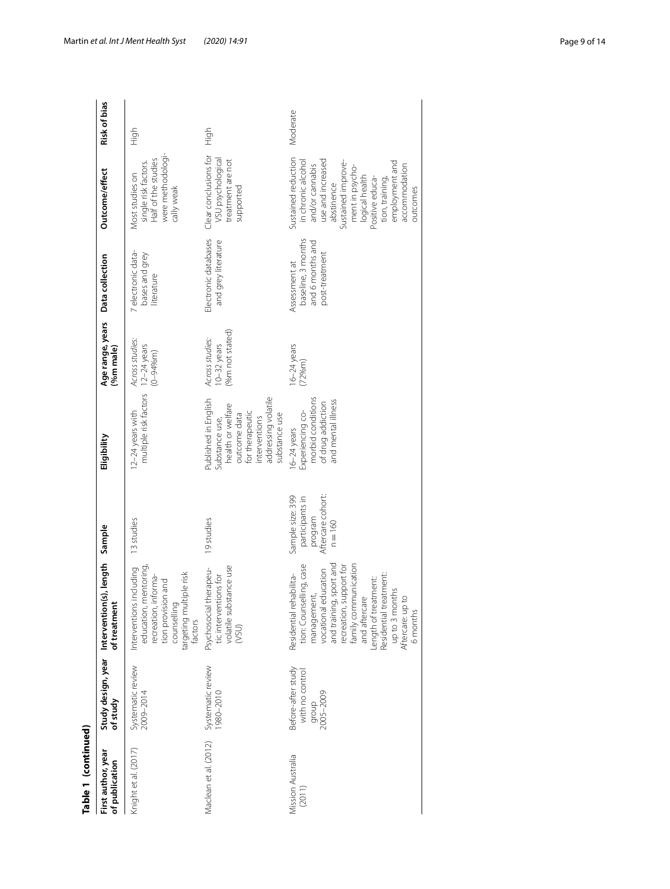| Table 1 (continued)                  |                                                             |                                                                                                                                                                                                                                                                                                               |                                                                                  |                                                                                                                                                         |                                                     |                                                                           |                                                                                                                                                                                                                                                 |                     |
|--------------------------------------|-------------------------------------------------------------|---------------------------------------------------------------------------------------------------------------------------------------------------------------------------------------------------------------------------------------------------------------------------------------------------------------|----------------------------------------------------------------------------------|---------------------------------------------------------------------------------------------------------------------------------------------------------|-----------------------------------------------------|---------------------------------------------------------------------------|-------------------------------------------------------------------------------------------------------------------------------------------------------------------------------------------------------------------------------------------------|---------------------|
| First author, year<br>of publication | Study design, year<br>of study                              | Intervention(s), length Sample<br>of treatment                                                                                                                                                                                                                                                                |                                                                                  | Eligibility                                                                                                                                             | Age range, years<br>(%m male)                       | Data collection                                                           | Outcome/effect                                                                                                                                                                                                                                  | <b>Risk of bias</b> |
| Knight et al. (2017)                 | Systematic review<br>2009-2014                              | education, mentoring<br>including<br>targeting multiple risk<br>nforma-<br>tion provision and<br>Interventions<br>recreation, i<br>counselling<br>factors                                                                                                                                                     | 13 studies                                                                       | multiple risk factors<br>12-24 years with                                                                                                               | Across studies:<br>$12-24$ years<br>$(0 - 94%m)$    | 7 electronic data-<br>bases and grey<br>literature                        | were methodologi-<br>single risk factors.<br>Half of the studies<br>Most studies on<br>cally weak                                                                                                                                               | 승<br>도              |
| Maclean et al. (2012)                | Systematic review<br>1980-2010                              | volatile substance use<br>Psychosocial therapeu-<br>tic interventions for<br>(VSU)                                                                                                                                                                                                                            | 19 studies                                                                       | addressing volatile<br>Published in English<br>health or welfare<br>for therapeutic<br>outcome data<br>substance use<br>interventions<br>Substance use, | (%m not stated)<br>Across studies:<br>$10-32$ years | Electronic databases<br>and grey literature                               | Clear conclusions for<br>VSU psychological<br>treatment are not<br>supported                                                                                                                                                                    | High                |
| Mission Australia<br>(2011)          | Before-after study<br>with no control<br>2005-2009<br>dronb | and training, sport and<br>tion: Counselling, case<br>family communication<br>recreation, support for<br>management,<br>vocational education<br>Residential treatment:<br>Residential rehabilita-<br>Length of treatment:<br>up to 3 months<br>$\overline{0}$<br>and aftercare<br>Aftercare: up t<br>6 months | Aftercare cohort:<br>Sample size: 399<br>participants in<br>program<br>$n = 160$ | morbid conditions<br>and mental illness<br>of drug addiction<br>Experiencing co-<br>$6-24$ years                                                        | $16 - 24$ years<br>(72%m)                           | baseline, 3 months<br>and 6 months and<br>post-treatment<br>Assessment at | Sustained reduction<br>use and increased<br>in chronic alcohol<br>Sustained improve-<br>employment and<br>and/or cannabis<br>accommodation<br>ment in psycho-<br>logical health<br>Positive educa-<br>tion, training,<br>abstinence<br>outcomes | Moderate            |
|                                      |                                                             |                                                                                                                                                                                                                                                                                                               |                                                                                  |                                                                                                                                                         |                                                     |                                                                           |                                                                                                                                                                                                                                                 |                     |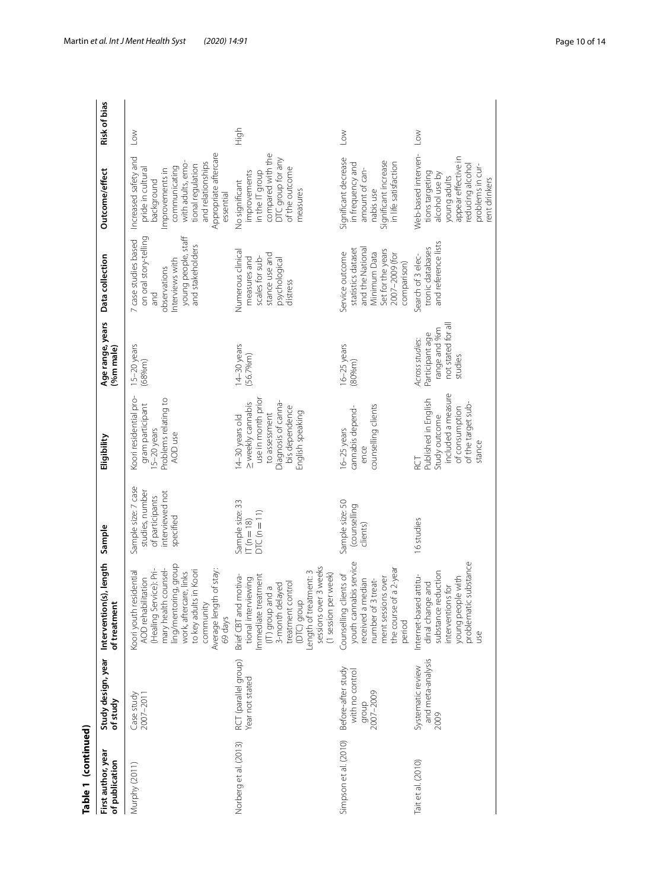| Table 1 (continued)                  |                                                             |                                                                                                                                                                                                                                  |                                                                                           |                                                                                                                                          |                                                                                     |                                                                                                                                    |                                                                                                                                                                                                  |                 |
|--------------------------------------|-------------------------------------------------------------|----------------------------------------------------------------------------------------------------------------------------------------------------------------------------------------------------------------------------------|-------------------------------------------------------------------------------------------|------------------------------------------------------------------------------------------------------------------------------------------|-------------------------------------------------------------------------------------|------------------------------------------------------------------------------------------------------------------------------------|--------------------------------------------------------------------------------------------------------------------------------------------------------------------------------------------------|-----------------|
| First author, year<br>of publication | Study design, year<br>of study                              | Intervention(s), length<br>of treatment                                                                                                                                                                                          | Sample                                                                                    | Eligibility                                                                                                                              | Age range, years<br>%m male)                                                        | Data collection                                                                                                                    | Outcome/effect                                                                                                                                                                                   | Risk of bias    |
| Murphy (2011)                        | Case study<br>2007-2011                                     | ling/mentoring, group<br>mary health counsel-<br>to key adults in Koori<br>(Healing Service): Pri-<br>Average length of stay:<br>work, aftercare, links<br>Koori youth residential<br>AOD rehabilitation<br>community<br>69 days | Sample size: 7 case<br>interviewed not<br>studies, number<br>of participants<br>specified | Koori residential pro-<br>Problems relating to<br>gram participant<br>15–20 years<br>AOD use                                             | 5-20 years<br>(68% <sub>m</sub> )                                                   | on oral story-telling<br>young people, staff<br>7 case studies based<br>and stakeholders<br>Interviews with<br>observations<br>and | Appropriate aftercare<br>Increased safety and<br>with adults, emo-<br>and relationships<br>tional requlation<br>communicating<br>pride in cultural<br>Improvements in<br>background<br>essential | $\sim$          |
| Norberg et al. (2013)                | RCT (parallel group)<br>Year not stated                     | sessions over 3 weeks<br>(DTC) group<br>Length of treatment: 3<br>(1 session per week)<br>Brief CBT and motiva-<br>Immediate treatment<br>tional interviewing<br>treatment control<br>3-month delayed<br>(IT) group and a        | Sample size: 33<br>$DTC(n=11)$<br>$T(n=18)$                                               | use in month prior<br>Diagnosis of canna-<br>> weekly cannabis<br>bis dependence<br>English speaking<br>to assessment<br>14-30 years old | 14-30 years<br>(56.7% <sub>m</sub> )                                                | Numerous clinical<br>stance use and<br>scales for sub-<br>measures and<br>psychological<br>distress                                | compared with the<br>DTC group for any<br>of the outcome<br>in the IT group<br>improvements<br>No significant<br>measures                                                                        | High            |
| Simpson et al. (2010)                | Before-after study<br>with no control<br>2007-2009<br>dronb | youth cannabis service<br>the course of a 2-year<br>Counselling clients of<br>ment sessions over<br>median<br>number of 3 treat-<br>received a<br>period                                                                         | Sample size: 50<br>(counselling<br>clients)                                               | counselling clients<br>cannabis depend-<br>$16 - 25$ years<br>ence                                                                       | 6-25 years<br>(80% <sub>m</sub> )                                                   | statistics dataset<br>and the National<br>Set for the years<br>Service outcome<br>Minimum Data<br>2007-2009 (for<br>comparison)    | Significant decrease<br>Significant increase<br>in life satisfaction<br>in frequency and<br>amount of can-<br>nabis use                                                                          | $\sim$          |
| Tait et al. (2010)                   | and meta-analysis<br>Systematic review<br>2009              | ic substance<br>substance reduction<br>Internet-based attitu-<br>young people with<br>dinal change and<br>interventions for<br>problemat<br>use                                                                                  | 16 studies                                                                                | included a measure<br>Published in English<br>of the target sub-<br>of consumption<br>Study outcome<br>stance                            | not stated for all<br>range and %m<br>Participant age<br>Across studies:<br>studies | and reference lists<br>tronic databases<br>Search of 3 elec-                                                                       | Web-based interven-<br>appear effective in<br>reducing alcohol<br>problems in cur-<br>tions targeting<br>alcohol use by<br>young adults<br>rent drinkers                                         | $_{\text{Low}}$ |

## Martin *et al. Int J Ment Health Syst (2020) 14:91* Page 10 of 14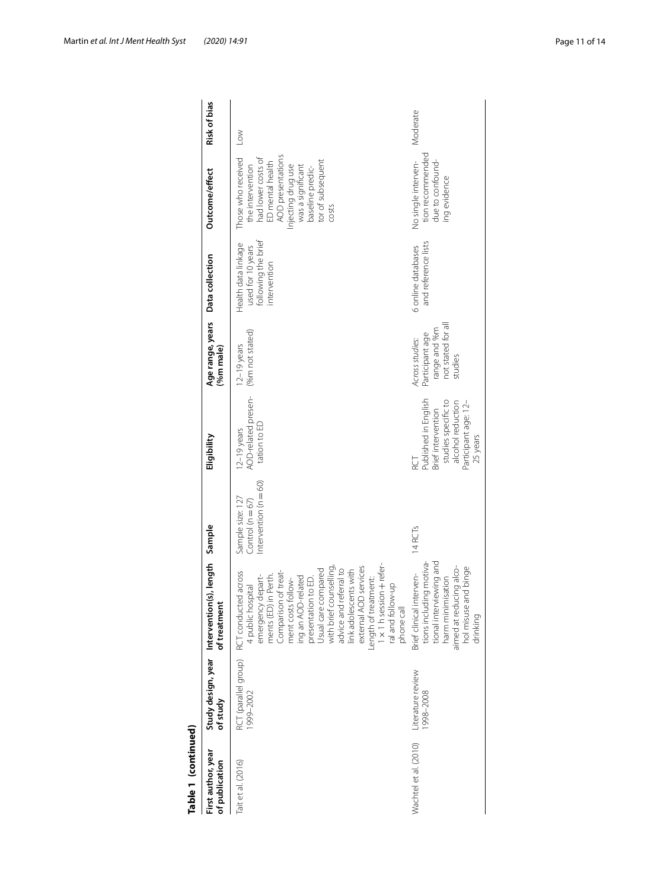| Table 1 (continued)                  |                               |                                                                                                                                                                                                                                                                                                                                                                                                                                |                                                                    |                                                                                                                                        |                                                                                    |                                                                                 |                                                                                                                                                                                                    |              |
|--------------------------------------|-------------------------------|--------------------------------------------------------------------------------------------------------------------------------------------------------------------------------------------------------------------------------------------------------------------------------------------------------------------------------------------------------------------------------------------------------------------------------|--------------------------------------------------------------------|----------------------------------------------------------------------------------------------------------------------------------------|------------------------------------------------------------------------------------|---------------------------------------------------------------------------------|----------------------------------------------------------------------------------------------------------------------------------------------------------------------------------------------------|--------------|
| First author, year<br>of publication | of study                      | Study design, year Intervention(s), length Sample<br>of treatment                                                                                                                                                                                                                                                                                                                                                              |                                                                    | Eligibility                                                                                                                            | Age range, years Data collection<br>(%m male)                                      |                                                                                 | Outcome/effect                                                                                                                                                                                     | Risk of bias |
| Tait et al. (2016)                   | 1999-2002                     | 1 x 1 h session + refer-<br>ral and follow-up<br>with brief counselling,<br>external AOD services<br>advice and referral to<br>link adolescents with<br>Usual care compared<br>Comparison of treat-<br>RCT (parallel group) RCT conducted across<br>in Perth.<br>ing an AOD-related<br>emergency depart-<br>presentation to ED.<br>Length of treatment:<br>ment costs follow-<br>4 public hospital<br>ments (ED)<br>phone call | $ntervention (n = 60)$<br>Sample size: 127<br>Control ( $n = 67$ ) | AOD-related presen-<br>tation to ED<br>$12-19$ years                                                                                   | (%m not stated)<br>$12-19$ years                                                   | used for 10 years<br>following the brief<br>Health data linkage<br>intervention | AOD presentations<br>had lower costs of<br>Those who received<br>tor of subsequent<br>ED mental health<br>Injecting drug use<br>the intervention<br>was a significant<br>baseline predic-<br>costs | Low          |
| Wachtel et al. (2010)                | Literature review<br>998-2008 | tional interviewing and<br>tions including motiva<br>aimed at reducing alco-<br>and binge<br>Brief clinical interven-<br>harm minimisation<br>hol misuse<br>drinking                                                                                                                                                                                                                                                           | 14RCT <sub>S</sub>                                                 | Published in English<br>studies specific to<br>alcohol reduction<br>Participant age: 12-<br>Brief intervention<br>25 years<br>RCT<br>R | not stated for al<br>range and %m<br>Participant age<br>Across studies:<br>studies | and reference lists<br>6 online databases                                       | tion recommended<br>due to confound-<br>No single interven-<br>ing evidence                                                                                                                        | Moderate     |
|                                      |                               |                                                                                                                                                                                                                                                                                                                                                                                                                                |                                                                    |                                                                                                                                        |                                                                                    |                                                                                 |                                                                                                                                                                                                    |              |

| י                                                                               |
|---------------------------------------------------------------------------------|
|                                                                                 |
|                                                                                 |
|                                                                                 |
|                                                                                 |
|                                                                                 |
|                                                                                 |
|                                                                                 |
|                                                                                 |
|                                                                                 |
| ۳                                                                               |
| ı<br>٥                                                                          |
|                                                                                 |
| ֧֧֧֧֧֧ׅ֧֧֦֧֧ׅ֧֧֧֧ׅ֧֧֧֧ׅ֧֧֧֧֧֧֧֧֧֧֧֚֚֚֚֚֚֚֚֚֚֚֚֚֚֚֚֬֝֝֓֝֬֝֬֝֬֜֓֜֜֓֜֓֜֜֜֜֜֜֜֜֝֬֜֜ |
|                                                                                 |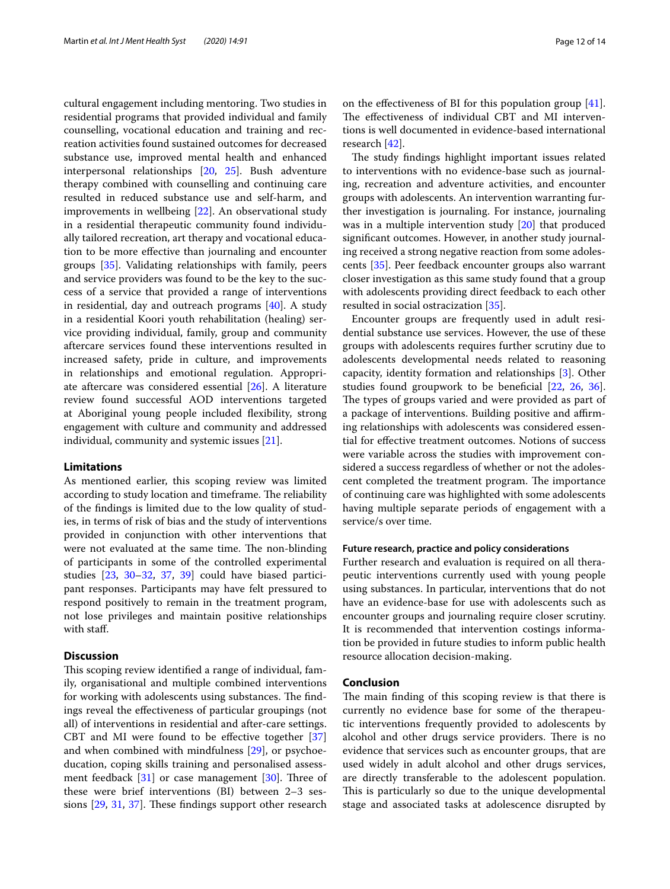cultural engagement including mentoring. Two studies in residential programs that provided individual and family counselling, vocational education and training and recreation activities found sustained outcomes for decreased substance use, improved mental health and enhanced interpersonal relationships [[20,](#page-12-19) [25\]](#page-12-23). Bush adventure therapy combined with counselling and continuing care resulted in reduced substance use and self-harm, and improvements in wellbeing [[22\]](#page-12-22). An observational study in a residential therapeutic community found individually tailored recreation, art therapy and vocational education to be more efective than journaling and encounter groups [\[35](#page-12-26)]. Validating relationships with family, peers and service providers was found to be the key to the success of a service that provided a range of interventions in residential, day and outreach programs [\[40\]](#page-13-2). A study in a residential Koori youth rehabilitation (healing) service providing individual, family, group and community aftercare services found these interventions resulted in increased safety, pride in culture, and improvements in relationships and emotional regulation. Appropriate aftercare was considered essential [[26\]](#page-12-20). A literature review found successful AOD interventions targeted at Aboriginal young people included fexibility, strong engagement with culture and community and addressed individual, community and systemic issues [[21\]](#page-12-31).

## **Limitations**

As mentioned earlier, this scoping review was limited according to study location and timeframe. The reliability of the fndings is limited due to the low quality of studies, in terms of risk of bias and the study of interventions provided in conjunction with other interventions that were not evaluated at the same time. The non-blinding of participants in some of the controlled experimental studies [\[23](#page-12-29), [30](#page-12-27)[–32,](#page-12-32) [37,](#page-12-33) [39\]](#page-13-1) could have biased participant responses. Participants may have felt pressured to respond positively to remain in the treatment program, not lose privileges and maintain positive relationships with staff.

## **Discussion**

This scoping review identified a range of individual, family, organisational and multiple combined interventions for working with adolescents using substances. The findings reveal the efectiveness of particular groupings (not all) of interventions in residential and after-care settings. CBT and MI were found to be effective together [[37](#page-12-33)] and when combined with mindfulness [[29\]](#page-12-21), or psychoeducation, coping skills training and personalised assessment feedback  $[31]$  or case management  $[30]$  $[30]$ . Three of these were brief interventions (BI) between 2–3 sessions  $[29, 31, 37]$  $[29, 31, 37]$  $[29, 31, 37]$  $[29, 31, 37]$  $[29, 31, 37]$  $[29, 31, 37]$  $[29, 31, 37]$ . These findings support other research on the efectiveness of BI for this population group [\[41](#page-13-0)]. The effectiveness of individual CBT and MI interventions is well documented in evidence-based international research [[42\]](#page-13-3).

The study findings highlight important issues related to interventions with no evidence-base such as journaling, recreation and adventure activities, and encounter groups with adolescents. An intervention warranting further investigation is journaling. For instance, journaling was in a multiple intervention study [\[20](#page-12-19)] that produced signifcant outcomes. However, in another study journaling received a strong negative reaction from some adolescents [\[35](#page-12-26)]. Peer feedback encounter groups also warrant closer investigation as this same study found that a group with adolescents providing direct feedback to each other resulted in social ostracization [[35](#page-12-26)].

Encounter groups are frequently used in adult residential substance use services. However, the use of these groups with adolescents requires further scrutiny due to adolescents developmental needs related to reasoning capacity, identity formation and relationships [\[3](#page-12-2)]. Other studies found groupwork to be beneficial [\[22,](#page-12-22) [26,](#page-12-20) [36](#page-12-30)]. The types of groups varied and were provided as part of a package of interventions. Building positive and affirming relationships with adolescents was considered essential for efective treatment outcomes. Notions of success were variable across the studies with improvement considered a success regardless of whether or not the adolescent completed the treatment program. The importance of continuing care was highlighted with some adolescents having multiple separate periods of engagement with a service/s over time.

## **Future research, practice and policy considerations**

Further research and evaluation is required on all therapeutic interventions currently used with young people using substances. In particular, interventions that do not have an evidence-base for use with adolescents such as encounter groups and journaling require closer scrutiny. It is recommended that intervention costings information be provided in future studies to inform public health resource allocation decision-making.

#### **Conclusion**

The main finding of this scoping review is that there is currently no evidence base for some of the therapeutic interventions frequently provided to adolescents by alcohol and other drugs service providers. There is no evidence that services such as encounter groups, that are used widely in adult alcohol and other drugs services, are directly transferable to the adolescent population. This is particularly so due to the unique developmental stage and associated tasks at adolescence disrupted by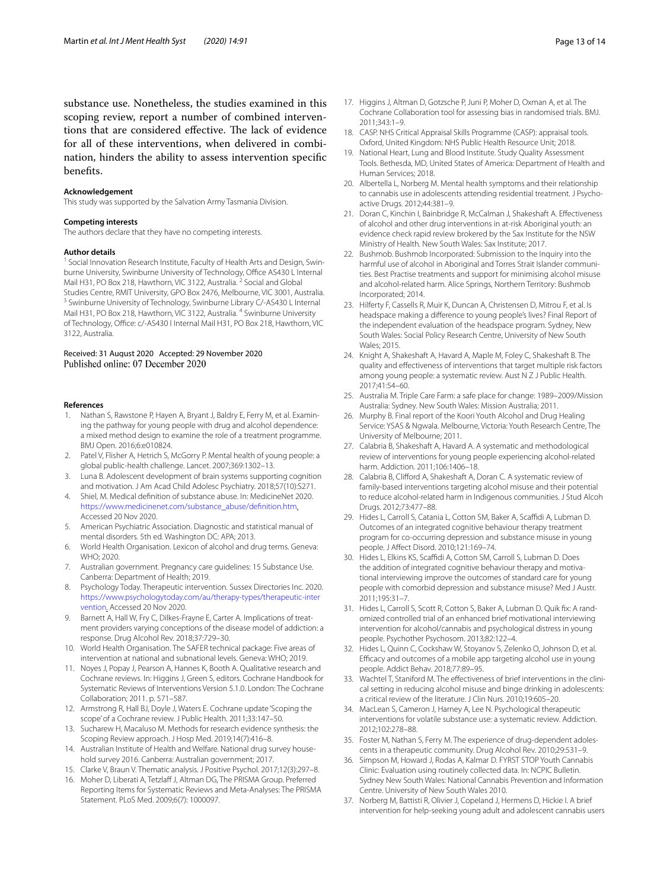substance use. Nonetheless, the studies examined in this scoping review, report a number of combined interventions that are considered effective. The lack of evidence for all of these interventions, when delivered in combination, hinders the ability to assess intervention specifc benefts.

#### **Acknowledgement**

This study was supported by the Salvation Army Tasmania Division.

#### **Competing interests**

The authors declare that they have no competing interests.

#### **Author details**

<sup>1</sup> Social Innovation Research Institute, Faculty of Health Arts and Design, Swinburne University, Swinburne University of Technology, Office AS430 L Internal Mail H31, PO Box 218, Hawthorn, VIC 3122, Australia. <sup>2</sup> Social and Global<br>Studies Centre, RMIT University, GPO Box 2476, Melbourne, VIC 3001, Australia. <sup>3</sup> Swinburne University of Technology, Swinburne Library C/-AS430 L Internal Mail H31, PO Box 218, Hawthorn, VIC 3122, Australia. <sup>4</sup> Swinburne University of Technology, Office: c/-AS430 l Internal Mail H31, PO Box 218, Hawthorn, VIC 3122, Australia.

#### Received: 31 August 2020 Accepted: 29 November 2020 Published online: 07 December 2020

#### **References**

- <span id="page-12-0"></span>1. Nathan S, Rawstone P, Hayen A, Bryant J, Baldry E, Ferry M, et al. Examining the pathway for young people with drug and alcohol dependence: a mixed method design to examine the role of a treatment programme. BMJ Open. 2016;6:e010824.
- <span id="page-12-1"></span>2. Patel V, Flisher A, Hetrich S, McGorry P. Mental health of young people: a global public-health challenge. Lancet. 2007;369:1302–13.
- <span id="page-12-2"></span>3. Luna B. Adolescent development of brain systems supporting cognition and motivation. J Am Acad Child Adolesc Psychiatry. 2018;57(10):S271.
- <span id="page-12-3"></span>4. Shiel, M. Medical defnition of substance abuse. In: MedicineNet 2020. [https://www.medicinenet.com/substance\\_abuse/defnition.htm](https://www.medicinenet.com/substance_abuse/definition.htm). Accessed 20 Nov 2020.
- <span id="page-12-4"></span>5. American Psychiatric Association. Diagnostic and statistical manual of mental disorders. 5th ed. Washington DC: APA; 2013.
- <span id="page-12-5"></span>6. World Health Organisation. Lexicon of alcohol and drug terms. Geneva: WHO; 2020.
- <span id="page-12-6"></span>7. Australian government. Pregnancy care guidelines: 15 Substance Use. Canberra: Department of Health; 2019.
- <span id="page-12-7"></span>8. Psychology Today. Therapeutic intervention. Sussex Directories Inc. 2020. [https://www.psychologytoday.com/au/therapy-types/therapeutic-inter](https://www.psychologytoday.com/au/therapy-types/therapeutic-intervention) [vention.](https://www.psychologytoday.com/au/therapy-types/therapeutic-intervention) Accessed 20 Nov 2020.
- <span id="page-12-8"></span>9. Barnett A, Hall W, Fry C, Dilkes-Frayne E, Carter A. Implications of treatment providers varying conceptions of the disease model of addiction: a response. Drug Alcohol Rev. 2018;37:729–30.
- <span id="page-12-9"></span>10. World Health Organisation. The SAFER technical package: Five areas of intervention at national and subnational levels. Geneva: WHO; 2019.
- <span id="page-12-10"></span>11. Noyes J, Popay J, Pearson A, Hannes K, Booth A. Qualitative research and Cochrane reviews. In: Higgins J, Green S, editors. Cochrane Handbook for Systematic Reviews of Interventions Version 5.1.0. London: The Cochrane Collaboration; 2011. p. 571–587.
- <span id="page-12-11"></span>12. Armstrong R, Hall BJ, Doyle J, Waters E. Cochrane update 'Scoping the scope' of a Cochrane review. J Public Health. 2011;33:147–50.
- <span id="page-12-12"></span>13. Sucharew H, Macaluso M. Methods for research evidence synthesis: the Scoping Review approach. J Hosp Med. 2019;14(7):416–8.
- <span id="page-12-13"></span>14. Australian Institute of Health and Welfare. National drug survey household survey 2016. Canberra: Australian government; 2017.
- <span id="page-12-14"></span>15. Clarke V, Braun V. Thematic analysis. J Positive Psychol. 2017;12(3):297–8.
- <span id="page-12-15"></span>16. Moher D, Liberati A, Tetzlaff J, Altman DG, The PRISMA Group. Preferred Reporting Items for Systematic Reviews and Meta-Analyses: The PRISMA Statement. PLoS Med. 2009;6(7): 1000097.
- <span id="page-12-16"></span>17. Higgins J, Altman D, Gotzsche P, Juni P, Moher D, Oxman A, et al. The Cochrane Collaboration tool for assessing bias in randomised trials. BMJ. 2011;343:1–9.
- <span id="page-12-17"></span>18. CASP. NHS Critical Appraisal Skills Programme (CASP): appraisal tools. Oxford, United Kingdom: NHS Public Health Resource Unit; 2018.
- <span id="page-12-18"></span>19. National Heart, Lung and Blood Institute. Study Quality Assessment Tools. Bethesda, MD, United States of America: Department of Health and Human Services; 2018.
- <span id="page-12-19"></span>20. Albertella L, Norberg M. Mental health symptoms and their relationship to cannabis use in adolescents attending residential treatment. J Psychoactive Drugs. 2012;44:381–9.
- <span id="page-12-31"></span>21. Doran C, Kinchin I, Bainbridge R, McCalman J, Shakeshaft A. Efectiveness of alcohol and other drug interventions in at-risk Aboriginal youth: an evidence check rapid review brokered by the Sax Institute for the NSW Ministry of Health. New South Wales: Sax Institute; 2017.
- <span id="page-12-22"></span>22. Bushmob. Bushmob Incorporated: Submission to the Inquiry into the harmful use of alcohol in Aboriginal and Torres Strait Islander communities. Best Practise treatments and support for minimising alcohol misuse and alcohol-related harm. Alice Springs, Northern Territory: Bushmob Incorporated; 2014.
- <span id="page-12-29"></span>23. Hilferty F, Cassells R, Muir K, Duncan A, Christensen D, Mitrou F, et al. Is headspace making a diference to young people's lives? Final Report of the independent evaluation of the headspace program. Sydney, New South Wales: Social Policy Research Centre, University of New South Wales; 2015.
- 24. Knight A, Shakeshaft A, Havard A, Maple M, Foley C, Shakeshaft B. The quality and efectiveness of interventions that target multiple risk factors among young people: a systematic review. Aust N Z J Public Health. 2017;41:54–60.
- <span id="page-12-23"></span>25. Australia M. Triple Care Farm: a safe place for change: 1989–2009/Mission Australia: Sydney. New South Wales: Mission Australia; 2011.
- <span id="page-12-20"></span>26. Murphy B. Final report of the Koori Youth Alcohol and Drug Healing Service: YSAS & Ngwala. Melbourne, Victoria: Youth Research Centre, The University of Melbourne; 2011.
- 27. Calabria B, Shakeshaft A, Havard A. A systematic and methodological review of interventions for young people experiencing alcohol-related harm. Addiction. 2011;106:1406–18.
- <span id="page-12-24"></span>28. Calabria B, Cliford A, Shakeshaft A, Doran C. A systematic review of family-based interventions targeting alcohol misuse and their potential to reduce alcohol-related harm in Indigenous communities. J Stud Alcoh Drugs. 2012;73:477–88.
- <span id="page-12-21"></span>29. Hides L, Carroll S, Catania L, Cotton SM, Baker A, Scaffidi A, Lubman D. Outcomes of an integrated cognitive behaviour therapy treatment program for co-occurring depression and substance misuse in young people. J Afect Disord. 2010;121:169–74.
- <span id="page-12-27"></span>30. Hides L, Elkins KS, Scafdi A, Cotton SM, Carroll S, Lubman D. Does the addition of integrated cognitive behaviour therapy and motivational interviewing improve the outcomes of standard care for young people with comorbid depression and substance misuse? Med J Austr. 2011;195:31–7.
- <span id="page-12-28"></span>31. Hides L, Carroll S, Scott R, Cotton S, Baker A, Lubman D. Quik fx: A randomized controlled trial of an enhanced brief motivational interviewing intervention for alcohol/cannabis and psychological distress in young people. Psychother Psychosom. 2013;82:122–4.
- <span id="page-12-32"></span>32. Hides L, Quinn C, Cockshaw W, Stoyanov S, Zelenko O, Johnson D, et al. Efficacy and outcomes of a mobile app targeting alcohol use in young people. Addict Behav. 2018;77:89–95.
- 33. Wachtel T, Staniford M. The efectiveness of brief interventions in the clinical setting in reducing alcohol misuse and binge drinking in adolescents: a critical review of the literature. J Clin Nurs. 2010;19:605–20.
- <span id="page-12-25"></span>34. MacLean S, Cameron J, Harney A, Lee N. Psychological therapeutic interventions for volatile substance use: a systematic review. Addiction. 2012;102:278–88.
- <span id="page-12-26"></span>35. Foster M, Nathan S, Ferry M. The experience of drug-dependent adolescents in a therapeutic community. Drug Alcohol Rev. 2010;29:531–9.
- <span id="page-12-30"></span>36. Simpson M, Howard J, Rodas A, Kalmar D. FYRST STOP Youth Cannabis Clinic: Evaluation using routinely collected data. In: NCPIC Bulletin. Sydney New South Wales: National Cannabis Prevention and Information Centre. University of New South Wales 2010.
- <span id="page-12-33"></span>37. Norberg M, Battisti R, Olivier J, Copeland J, Hermens D, Hickie I. A brief intervention for help-seeking young adult and adolescent cannabis users